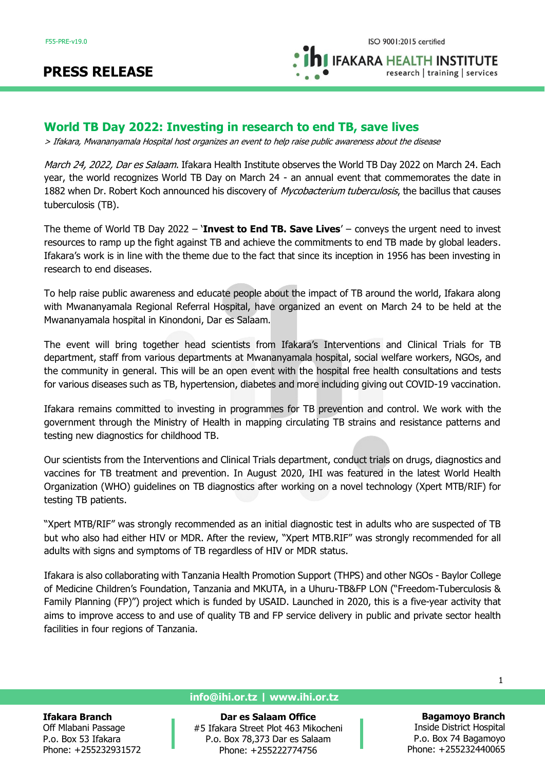# **PRESS RELEASE**

**IFAKARA HEALTH INSTITUTE** research | training | services

# **World TB Day 2022: Investing in research to end TB, save lives**

> Ifakara, Mwananyamala Hospital host organizes an event to help raise public awareness about the disease

March 24, 2022, Dar es Salaam. Ifakara Health Institute observes the World TB Day 2022 on March 24. Each year, the world recognizes World TB Day on March 24 - an annual event that commemorates the date in 1882 when Dr. Robert Koch announced his discovery of Mycobacterium tuberculosis, the bacillus that causes tuberculosis (TB).

The theme of World TB Day 2022 – '**Invest to End TB. Save Lives**' – conveys the urgent need to invest resources to ramp up the fight against TB and achieve the commitments to end TB made by global leaders. Ifakara's work is in line with the theme due to the fact that since its inception in 1956 has been investing in research to end diseases.

To help raise public awareness and educate people about the impact of TB around the world, Ifakara along with Mwananyamala Regional Referral Hospital, have organized an event on March 24 to be held at the Mwananyamala hospital in Kinondoni, Dar es Salaam.

The event will bring together head scientists from Ifakara's Interventions and Clinical Trials for TB department, staff from various departments at Mwananyamala hospital, social welfare workers, NGOs, and the community in general. This will be an open event with the hospital free health consultations and tests for various diseases such as TB, hypertension, diabetes and more including giving out COVID-19 vaccination.

Ifakara remains committed to investing in programmes for TB prevention and control. We work with the government through the Ministry of Health in mapping circulating TB strains and resistance patterns and testing new diagnostics for childhood TB.

Our scientists from the Interventions and Clinical Trials department, conduct trials on drugs, diagnostics and vaccines for TB treatment and prevention. In August 2020, IHI was featured in the latest World Health Organization (WHO) guidelines on TB diagnostics after working on a novel technology (Xpert MTB/RIF) for testing TB patients.

"Xpert MTB/RIF" was strongly recommended as an initial diagnostic test in adults who are suspected of TB but who also had either HIV or MDR. After the review, "Xpert MTB.RIF" was strongly recommended for all adults with signs and symptoms of TB regardless of HIV or MDR status.

Ifakara is also collaborating with Tanzania Health Promotion Support (THPS) and other NGOs - Baylor College of Medicine Children's Foundation, Tanzania and MKUTA, in a Uhuru-TB&FP LON ("Freedom-Tuberculosis & Family Planning (FP)") project which is funded by USAID. Launched in 2020, this is a five-year activity that aims to improve access to and use of quality TB and FP service delivery in public and private sector health facilities in four regions of Tanzania.

#### **Ifakara Branch**

Off Mlabani Passage P.o. Box 53 Ifakara Phone: +255232931572

#### **info@ihi.or.tz | www.ihi.or.tz**

**Dar es Salaam Office** #5 Ifakara Street Plot 463 Mikocheni P.o. Box 78,373 Dar es Salaam Phone: +255222774756

### **Bagamoyo Branch**

Inside District Hospital P.o. Box 74 Bagamoyo Phone: +255232440065